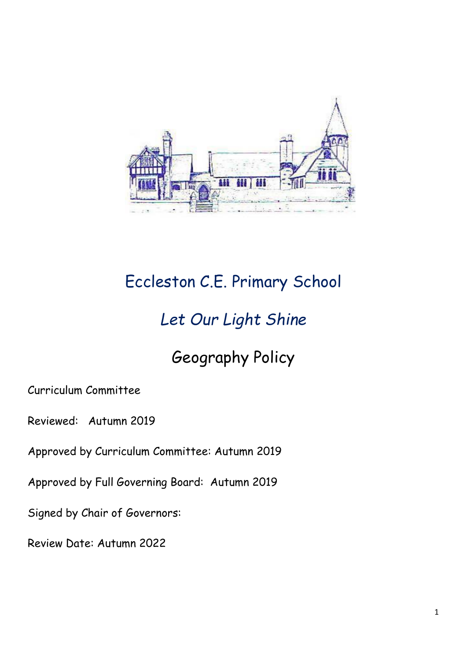

# Eccleston C.E. Primary School

### *Let Our Light Shine*

# Geography Policy

Curriculum Committee

Reviewed: Autumn 2019

Approved by Curriculum Committee: Autumn 2019

Approved by Full Governing Board: Autumn 2019

Signed by Chair of Governors:

Review Date: Autumn 2022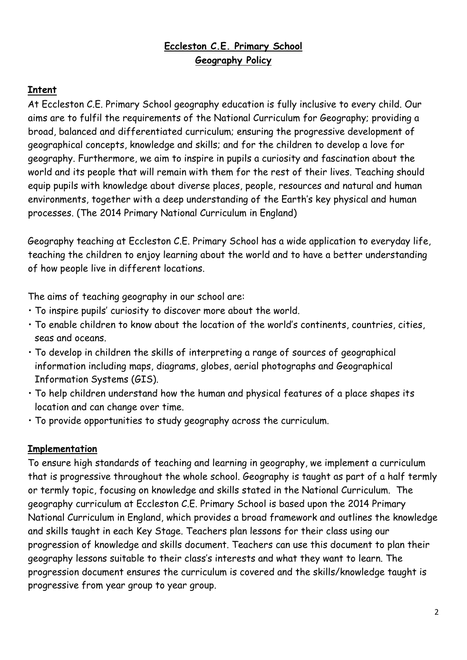### **Eccleston C.E. Primary School Geography Policy**

#### **Intent**

At Eccleston C.E. Primary School geography education is fully inclusive to every child. Our aims are to fulfil the requirements of the National Curriculum for Geography; providing a broad, balanced and differentiated curriculum; ensuring the progressive development of geographical concepts, knowledge and skills; and for the children to develop a love for geography. Furthermore, we aim to inspire in pupils a curiosity and fascination about the world and its people that will remain with them for the rest of their lives. Teaching should equip pupils with knowledge about diverse places, people, resources and natural and human environments, together with a deep understanding of the Earth's key physical and human processes. (The 2014 Primary National Curriculum in England)

Geography teaching at Eccleston C.E. Primary School has a wide application to everyday life, teaching the children to enjoy learning about the world and to have a better understanding of how people live in different locations.

The aims of teaching geography in our school are:

- To inspire pupils' curiosity to discover more about the world.
- To enable children to know about the location of the world's continents, countries, cities, seas and oceans.
- To develop in children the skills of interpreting a range of sources of geographical information including maps, diagrams, globes, aerial photographs and Geographical Information Systems (GIS).
- To help children understand how the human and physical features of a place shapes its location and can change over time.
- To provide opportunities to study geography across the curriculum.

#### **Implementation**

To ensure high standards of teaching and learning in geography, we implement a curriculum that is progressive throughout the whole school. Geography is taught as part of a half termly or termly topic, focusing on knowledge and skills stated in the National Curriculum. The geography curriculum at Eccleston C.E. Primary School is based upon the 2014 Primary National Curriculum in England, which provides a broad framework and outlines the knowledge and skills taught in each Key Stage. Teachers plan lessons for their class using our progression of knowledge and skills document. Teachers can use this document to plan their geography lessons suitable to their class's interests and what they want to learn. The progression document ensures the curriculum is covered and the skills/knowledge taught is progressive from year group to year group.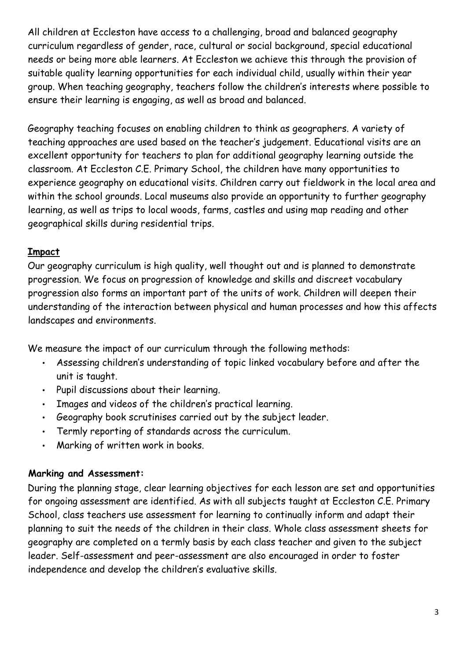All children at Eccleston have access to a challenging, broad and balanced geography curriculum regardless of gender, race, cultural or social background, special educational needs or being more able learners. At Eccleston we achieve this through the provision of suitable quality learning opportunities for each individual child, usually within their year group. When teaching geography, teachers follow the children's interests where possible to ensure their learning is engaging, as well as broad and balanced.

Geography teaching focuses on enabling children to think as geographers. A variety of teaching approaches are used based on the teacher's judgement. Educational visits are an excellent opportunity for teachers to plan for additional geography learning outside the classroom. At Eccleston C.E. Primary School, the children have many opportunities to experience geography on educational visits. Children carry out fieldwork in the local area and within the school grounds. Local museums also provide an opportunity to further geography learning, as well as trips to local woods, farms, castles and using map reading and other geographical skills during residential trips.

#### **Impact**

Our geography curriculum is high quality, well thought out and is planned to demonstrate progression. We focus on progression of knowledge and skills and discreet vocabulary progression also forms an important part of the units of work. Children will deepen their understanding of the interaction between physical and human processes and how this affects landscapes and environments.

We measure the impact of our curriculum through the following methods:

- Assessing children's understanding of topic linked vocabulary before and after the unit is taught.
- Pupil discussions about their learning.
- Images and videos of the children's practical learning.
- Geography book scrutinises carried out by the subject leader.
- Termly reporting of standards across the curriculum.
- Marking of written work in books.

#### **Marking and Assessment:**

During the planning stage, clear learning objectives for each lesson are set and opportunities for ongoing assessment are identified. As with all subjects taught at Eccleston C.E. Primary School, class teachers use assessment for learning to continually inform and adapt their planning to suit the needs of the children in their class. Whole class assessment sheets for geography are completed on a termly basis by each class teacher and given to the subject leader. Self-assessment and peer-assessment are also encouraged in order to foster independence and develop the children's evaluative skills.